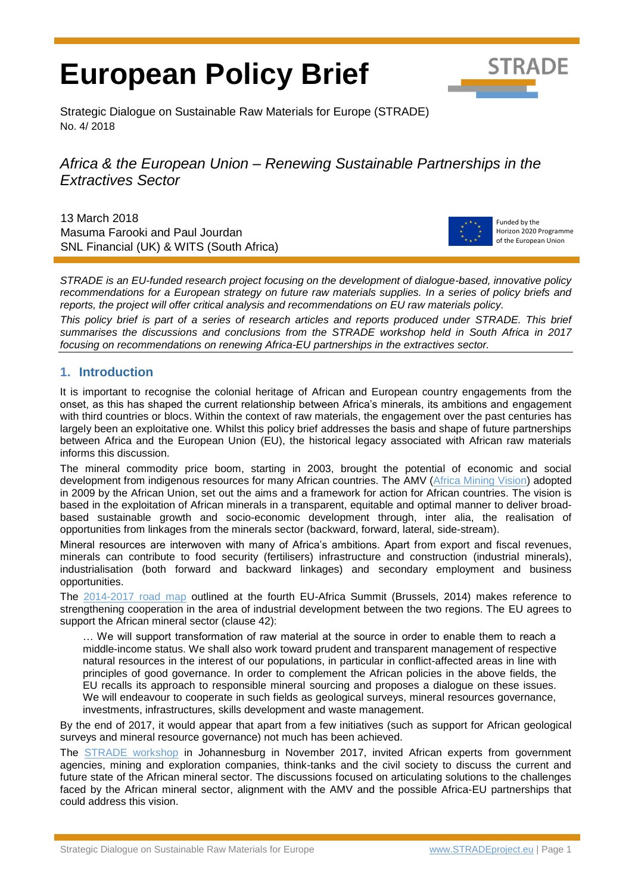# **European Policy Brief**



Strategic Dialogue on Sustainable Raw Materials for Europe (STRADE) No. 4/ 2018

# *Africa & the European Union – Renewing Sustainable Partnerships in the Extractives Sector*

13 March 2018 Masuma Farooki and Paul Jourdan SNL Financial (UK) & WITS (South Africa)



Funded by the Horizon 2020 Programme of the European Union

*STRADE is an EU-funded research project focusing on the development of dialogue-based, innovative policy recommendations for a European strategy on future raw materials supplies. In a series of policy briefs and reports, the project will offer critical analysis and recommendations on EU raw materials policy.* 

*This policy brief is part of a series of research articles and reports produced under STRADE. This brief summarises the discussions and conclusions from the STRADE workshop held in South Africa in 2017 focusing on recommendations on renewing Africa-EU partnerships in the extractives sector.* 

#### **1. Introduction**

It is important to recognise the colonial heritage of African and European country engagements from the onset, as this has shaped the current relationship between Africa's minerals, its ambitions and engagement with third countries or blocs. Within the context of raw materials, the engagement over the past centuries has largely been an exploitative one. Whilst this policy brief addresses the basis and shape of future partnerships between Africa and the European Union (EU), the historical legacy associated with African raw materials informs this discussion.

The mineral commodity price boom, starting in 2003, brought the potential of economic and social development from indigenous resources for many African countries. The AMV (Africa [Mining Vision\)](http://www.africaminingvision.org/amv_resources/AMV/Africa_Mining_Vision_English.pdf) adopted in 2009 by the African Union, set out the aims and a framework for action for African countries. The vision is based in the exploitation of African minerals in a transparent, equitable and optimal manner to deliver broadbased sustainable growth and socio-economic development through, inter alia, the realisation of opportunities from linkages from the minerals sector (backward, forward, lateral, side-stream).

Mineral resources are interwoven with many of Africa's ambitions. Apart from export and fiscal revenues, minerals can contribute to food security (fertilisers) infrastructure and construction (industrial minerals), industrialisation (both forward and backward linkages) and secondary employment and business opportunities.

The [2014-2017 road map](http://www.consilium.europa.eu/media/21520/142094.pdf) outlined at the fourth EU-Africa Summit (Brussels, 2014) makes reference to strengthening cooperation in the area of industrial development between the two regions. The EU agrees to support the African mineral sector (clause 42):

… We will support transformation of raw material at the source in order to enable them to reach a middle-income status. We shall also work toward prudent and transparent management of respective natural resources in the interest of our populations, in particular in conflict-affected areas in line with principles of good governance. In order to complement the African policies in the above fields, the EU recalls its approach to responsible mineral sourcing and proposes a dialogue on these issues. We will endeavour to cooperate in such fields as geological surveys, mineral resources governance, investments, infrastructures, skills development and waste management.

By the end of 2017, it would appear that apart from a few initiatives (such as support for African geological surveys and mineral resource governance) not much has been achieved.

The [STRADE workshop](http://stradeproject.eu/fileadmin/user_upload/pdf/STRADE_Africa_Workshop_Programme_FINAL.pdf) in Johannesburg in November 2017, invited African experts from government agencies, mining and exploration companies, think-tanks and the civil society to discuss the current and future state of the African mineral sector. The discussions focused on articulating solutions to the challenges faced by the African mineral sector, alignment with the AMV and the possible Africa-EU partnerships that could address this vision.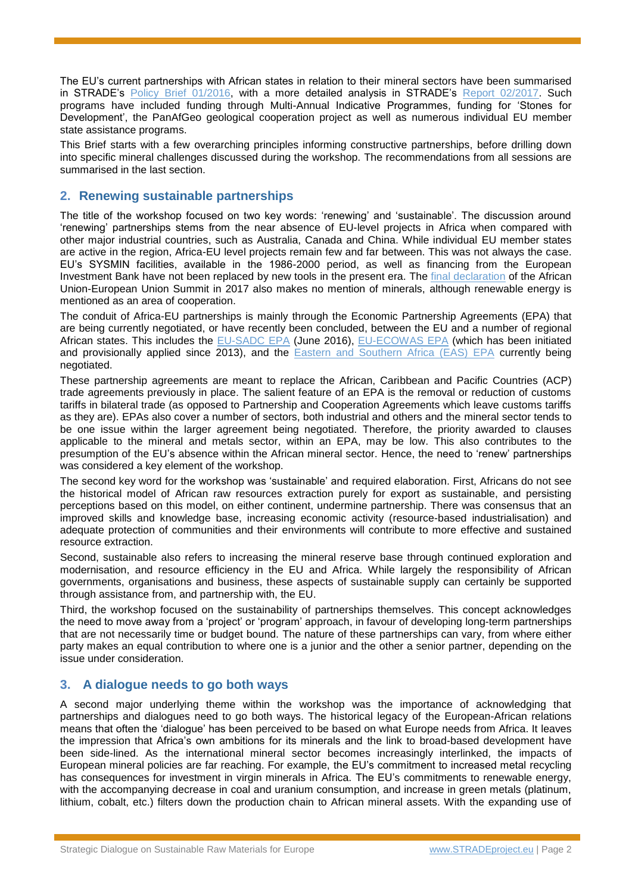The EU's current partnerships with African states in relation to their mineral sectors have been summarised in STRADE's [Policy Brief 01/2016,](http://stradeproject.eu/fileadmin/user_upload/pdf/PolicyBrief_01-2016_May2016_FINAL.pdf) with a more detailed analysis in STRADE's [Report 02/2017.](http://stradeproject.eu/fileadmin/user_upload/pdf/STRADE_Rpt_D3-03_EU-RawMat_May2017_FINAL.pdf) Such programs have included funding through Multi-Annual Indicative Programmes, funding for 'Stones for Development', the PanAfGeo geological cooperation project as well as numerous individual EU member state assistance programs.

This Brief starts with a few overarching principles informing constructive partnerships, before drilling down into specific mineral challenges discussed during the workshop. The recommendations from all sessions are summarised in the last section.

# **2. Renewing sustainable partnerships**

The title of the workshop focused on two key words: 'renewing' and 'sustainable'. The discussion around 'renewing' partnerships stems from the near absence of EU-level projects in Africa when compared with other major industrial countries, such as Australia, Canada and China. While individual EU member states are active in the region, Africa-EU level projects remain few and far between. This was not always the case. EU's SYSMIN facilities, available in the 1986-2000 period, as well as financing from the European Investment Bank have not been replaced by new tools in the present era. The [final declaration](http://www.consilium.europa.eu/media/31991/33454-pr-final_declaration_au_eu_summit.pdf) of the African Union-European Union Summit in 2017 also makes no mention of minerals, although renewable energy is mentioned as an area of cooperation.

The conduit of Africa-EU partnerships is mainly through the Economic Partnership Agreements (EPA) that are being currently negotiated, or have recently been concluded, between the EU and a number of regional African states. This includes the [EU-SADC EPA](http://ec.europa.eu/trade/policy/countries-and-regions/regions/sadc/) (June 2016), [EU-ECOWAS EPA](http://ec.europa.eu/trade/policy/countries-and-regions/regions/west-africa/) (which has been initiated and provisionally applied since 2013), and the [Eastern and Southern Africa \(EAS\) EPA](http://ec.europa.eu/trade/policy/countries-and-regions/regions/esa/) currently being negotiated.

These partnership agreements are meant to replace the African, Caribbean and Pacific Countries (ACP) trade agreements previously in place. The salient feature of an EPA is the removal or reduction of customs tariffs in bilateral trade (as opposed to Partnership and Cooperation Agreements which leave customs tariffs as they are). EPAs also cover a number of sectors, both industrial and others and the mineral sector tends to be one issue within the larger agreement being negotiated. Therefore, the priority awarded to clauses applicable to the mineral and metals sector, within an EPA, may be low. This also contributes to the presumption of the EU's absence within the African mineral sector. Hence, the need to 'renew' partnerships was considered a key element of the workshop.

The second key word for the workshop was 'sustainable' and required elaboration. First, Africans do not see the historical model of African raw resources extraction purely for export as sustainable, and persisting perceptions based on this model, on either continent, undermine partnership. There was consensus that an improved skills and knowledge base, increasing economic activity (resource-based industrialisation) and adequate protection of communities and their environments will contribute to more effective and sustained resource extraction.

Second, sustainable also refers to increasing the mineral reserve base through continued exploration and modernisation, and resource efficiency in the EU and Africa. While largely the responsibility of African governments, organisations and business, these aspects of sustainable supply can certainly be supported through assistance from, and partnership with, the EU.

Third, the workshop focused on the sustainability of partnerships themselves. This concept acknowledges the need to move away from a 'project' or 'program' approach, in favour of developing long-term partnerships that are not necessarily time or budget bound. The nature of these partnerships can vary, from where either party makes an equal contribution to where one is a junior and the other a senior partner, depending on the issue under consideration.

#### **3. A dialogue needs to go both ways**

A second major underlying theme within the workshop was the importance of acknowledging that partnerships and dialogues need to go both ways. The historical legacy of the European-African relations means that often the 'dialogue' has been perceived to be based on what Europe needs from Africa. It leaves the impression that Africa's own ambitions for its minerals and the link to broad-based development have been side-lined. As the international mineral sector becomes increasingly interlinked, the impacts of European mineral policies are far reaching. For example, the EU's commitment to increased metal recycling has consequences for investment in virgin minerals in Africa. The EU's commitments to renewable energy, with the accompanying decrease in coal and uranium consumption, and increase in green metals (platinum, lithium, cobalt, etc.) filters down the production chain to African mineral assets. With the expanding use of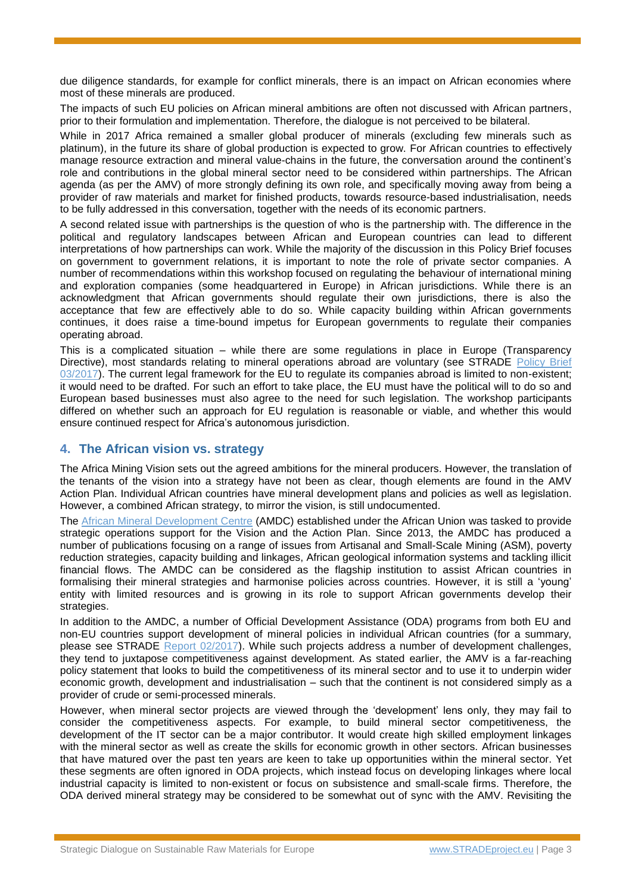due diligence standards, for example for conflict minerals, there is an impact on African economies where most of these minerals are produced.

The impacts of such EU policies on African mineral ambitions are often not discussed with African partners, prior to their formulation and implementation. Therefore, the dialogue is not perceived to be bilateral.

While in 2017 Africa remained a smaller global producer of minerals (excluding few minerals such as platinum), in the future its share of global production is expected to grow. For African countries to effectively manage resource extraction and mineral value-chains in the future, the conversation around the continent's role and contributions in the global mineral sector need to be considered within partnerships. The African agenda (as per the AMV) of more strongly defining its own role, and specifically moving away from being a provider of raw materials and market for finished products, towards resource-based industrialisation, needs to be fully addressed in this conversation, together with the needs of its economic partners.

A second related issue with partnerships is the question of who is the partnership with. The difference in the political and regulatory landscapes between African and European countries can lead to different interpretations of how partnerships can work. While the majority of the discussion in this Policy Brief focuses on government to government relations, it is important to note the role of private sector companies. A number of recommendations within this workshop focused on regulating the behaviour of international mining and exploration companies (some headquartered in Europe) in African jurisdictions. While there is an acknowledgment that African governments should regulate their own jurisdictions, there is also the acceptance that few are effectively able to do so. While capacity building within African governments continues, it does raise a time-bound impetus for European governments to regulate their companies operating abroad.

This is a complicated situation – while there are some regulations in place in Europe (Transparency Directive), most standards relating to mineral operations abroad are voluntary (see STRADE [Policy Brief](http://stradeproject.eu/fileadmin/user_upload/pdf/STRADEPolBrf_03-2017_OpDesignExp-DueDilgncCert_Apr2017_FINAL.pdf)  [03/2017\)](http://stradeproject.eu/fileadmin/user_upload/pdf/STRADEPolBrf_03-2017_OpDesignExp-DueDilgncCert_Apr2017_FINAL.pdf). The current legal framework for the EU to regulate its companies abroad is limited to non-existent; it would need to be drafted. For such an effort to take place, the EU must have the political will to do so and European based businesses must also agree to the need for such legislation. The workshop participants differed on whether such an approach for EU regulation is reasonable or viable, and whether this would ensure continued respect for Africa's autonomous jurisdiction.

#### **4. The African vision vs. strategy**

The Africa Mining Vision sets out the agreed ambitions for the mineral producers. However, the translation of the tenants of the vision into a strategy have not been as clear, though elements are found in the AMV Action Plan. Individual African countries have mineral development plans and policies as well as legislation. However, a combined African strategy, to mirror the vision, is still undocumented.

The [African Mineral Development Centre](https://www.uneca.org/pages/about-amdc) (AMDC) established under the African Union was tasked to provide strategic operations support for the Vision and the Action Plan. Since 2013, the AMDC has produced a number of publications focusing on a range of issues from Artisanal and Small-Scale Mining (ASM), poverty reduction strategies, capacity building and linkages, African geological information systems and tackling illicit financial flows. The AMDC can be considered as the flagship institution to assist African countries in formalising their mineral strategies and harmonise policies across countries. However, it is still a 'young' entity with limited resources and is growing in its role to support African governments develop their strategies.

In addition to the AMDC, a number of Official Development Assistance (ODA) programs from both EU and non-EU countries support development of mineral policies in individual African countries (for a summary, please see STRADE Report [02/2017\)](http://stradeproject.eu/fileadmin/user_upload/pdf/STRADE_Rpt_D3-03_EU-RawMat_May2017_FINAL.pdf). While such projects address a number of development challenges, they tend to juxtapose competitiveness against development. As stated earlier, the AMV is a far-reaching policy statement that looks to build the competitiveness of its mineral sector and to use it to underpin wider economic growth, development and industrialisation – such that the continent is not considered simply as a provider of crude or semi-processed minerals.

However, when mineral sector projects are viewed through the 'development' lens only, they may fail to consider the competitiveness aspects. For example, to build mineral sector competitiveness, the development of the IT sector can be a major contributor. It would create high skilled employment linkages with the mineral sector as well as create the skills for economic growth in other sectors. African businesses that have matured over the past ten years are keen to take up opportunities within the mineral sector. Yet these segments are often ignored in ODA projects, which instead focus on developing linkages where local industrial capacity is limited to non-existent or focus on subsistence and small-scale firms. Therefore, the ODA derived mineral strategy may be considered to be somewhat out of sync with the AMV. Revisiting the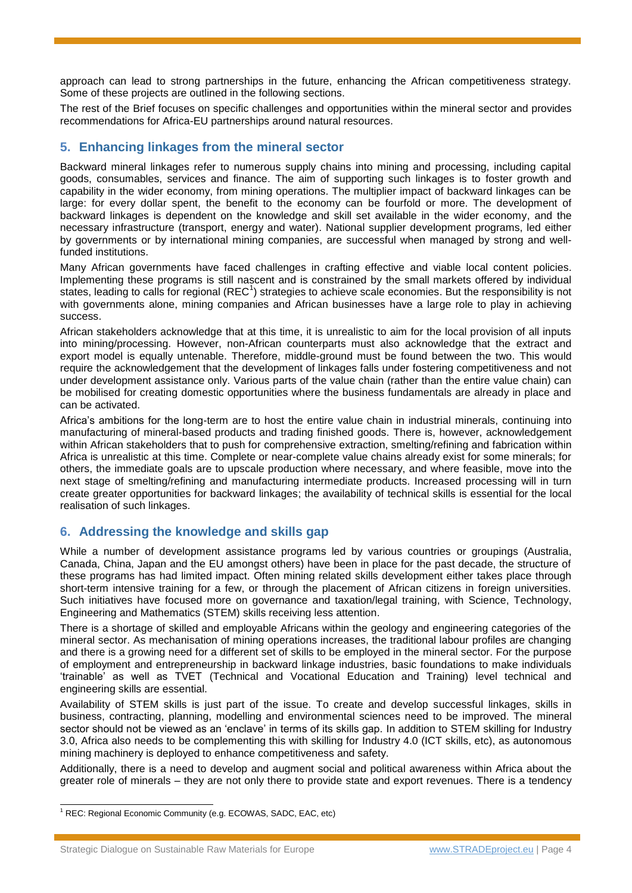approach can lead to strong partnerships in the future, enhancing the African competitiveness strategy. Some of these projects are outlined in the following sections.

The rest of the Brief focuses on specific challenges and opportunities within the mineral sector and provides recommendations for Africa-EU partnerships around natural resources.

# **5. Enhancing linkages from the mineral sector**

Backward mineral linkages refer to numerous supply chains into mining and processing, including capital goods, consumables, services and finance. The aim of supporting such linkages is to foster growth and capability in the wider economy, from mining operations. The multiplier impact of backward linkages can be large: for every dollar spent, the benefit to the economy can be fourfold or more. The development of backward linkages is dependent on the knowledge and skill set available in the wider economy, and the necessary infrastructure (transport, energy and water). National supplier development programs, led either by governments or by international mining companies, are successful when managed by strong and wellfunded institutions.

Many African governments have faced challenges in crafting effective and viable local content policies. Implementing these programs is still nascent and is constrained by the small markets offered by individual states, leading to calls for regional (REC<sup>1</sup>) strategies to achieve scale economies. But the responsibility is not with governments alone, mining companies and African businesses have a large role to play in achieving success.

African stakeholders acknowledge that at this time, it is unrealistic to aim for the local provision of all inputs into mining/processing. However, non-African counterparts must also acknowledge that the extract and export model is equally untenable. Therefore, middle-ground must be found between the two. This would require the acknowledgement that the development of linkages falls under fostering competitiveness and not under development assistance only. Various parts of the value chain (rather than the entire value chain) can be mobilised for creating domestic opportunities where the business fundamentals are already in place and can be activated.

Africa's ambitions for the long-term are to host the entire value chain in industrial minerals, continuing into manufacturing of mineral-based products and trading finished goods. There is, however, acknowledgement within African stakeholders that to push for comprehensive extraction, smelting/refining and fabrication within Africa is unrealistic at this time. Complete or near-complete value chains already exist for some minerals; for others, the immediate goals are to upscale production where necessary, and where feasible, move into the next stage of smelting/refining and manufacturing intermediate products. Increased processing will in turn create greater opportunities for backward linkages; the availability of technical skills is essential for the local realisation of such linkages.

#### **6. Addressing the knowledge and skills gap**

While a number of development assistance programs led by various countries or groupings (Australia, Canada, China, Japan and the EU amongst others) have been in place for the past decade, the structure of these programs has had limited impact. Often mining related skills development either takes place through short-term intensive training for a few, or through the placement of African citizens in foreign universities. Such initiatives have focused more on governance and taxation/legal training, with Science, Technology, Engineering and Mathematics (STEM) skills receiving less attention.

There is a shortage of skilled and employable Africans within the geology and engineering categories of the mineral sector. As mechanisation of mining operations increases, the traditional labour profiles are changing and there is a growing need for a different set of skills to be employed in the mineral sector. For the purpose of employment and entrepreneurship in backward linkage industries, basic foundations to make individuals 'trainable' as well as TVET (Technical and Vocational Education and Training) level technical and engineering skills are essential.

Availability of STEM skills is just part of the issue. To create and develop successful linkages, skills in business, contracting, planning, modelling and environmental sciences need to be improved. The mineral sector should not be viewed as an 'enclave' in terms of its skills gap. In addition to STEM skilling for Industry 3.0, Africa also needs to be complementing this with skilling for Industry 4.0 (ICT skills, etc), as autonomous mining machinery is deployed to enhance competitiveness and safety.

Additionally, there is a need to develop and augment social and political awareness within Africa about the greater role of minerals – they are not only there to provide state and export revenues. There is a tendency

 $\overline{a}$ <sup>1</sup> REC: Regional Economic Community (e.g. ECOWAS, SADC, EAC, etc)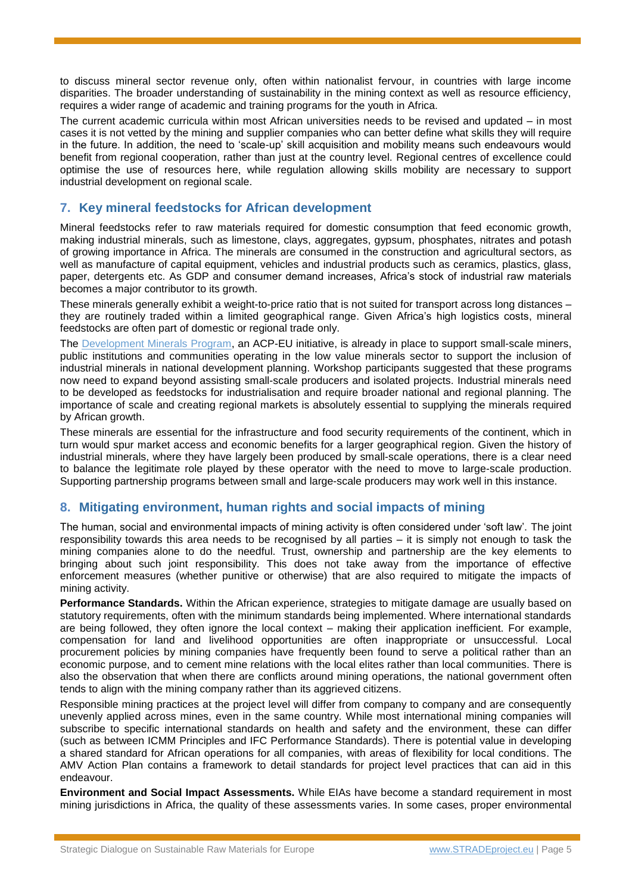to discuss mineral sector revenue only, often within nationalist fervour, in countries with large income disparities. The broader understanding of sustainability in the mining context as well as resource efficiency, requires a wider range of academic and training programs for the youth in Africa.

The current academic curricula within most African universities needs to be revised and updated – in most cases it is not vetted by the mining and supplier companies who can better define what skills they will require in the future. In addition, the need to 'scale-up' skill acquisition and mobility means such endeavours would benefit from regional cooperation, rather than just at the country level. Regional centres of excellence could optimise the use of resources here, while regulation allowing skills mobility are necessary to support industrial development on regional scale.

# **7. Key mineral feedstocks for African development**

Mineral feedstocks refer to raw materials required for domestic consumption that feed economic growth, making industrial minerals, such as limestone, clays, aggregates, gypsum, phosphates, nitrates and potash of growing importance in Africa. The minerals are consumed in the construction and agricultural sectors, as well as manufacture of capital equipment, vehicles and industrial products such as ceramics, plastics, glass, paper, detergents etc. As GDP and consumer demand increases, Africa's stock of industrial raw materials becomes a major contributor to its growth.

These minerals generally exhibit a weight-to-price ratio that is not suited for transport across long distances – they are routinely traded within a limited geographical range. Given Africa's high logistics costs, mineral feedstocks are often part of domestic or regional trade only.

The [Development Minerals Program,](http://www.undp.org/content/brussels/en/home/presscenter/pressreleases/2015/11/09/-investing-in-low-value-minerals-and-materials-for-jobs-boost-in-africa-.html) an ACP-EU initiative, is already in place to support small-scale miners, public institutions and communities operating in the low value minerals sector to support the inclusion of industrial minerals in national development planning. Workshop participants suggested that these programs now need to expand beyond assisting small-scale producers and isolated projects. Industrial minerals need to be developed as feedstocks for industrialisation and require broader national and regional planning. The importance of scale and creating regional markets is absolutely essential to supplying the minerals required by African growth.

These minerals are essential for the infrastructure and food security requirements of the continent, which in turn would spur market access and economic benefits for a larger geographical region. Given the history of industrial minerals, where they have largely been produced by small-scale operations, there is a clear need to balance the legitimate role played by these operator with the need to move to large-scale production. Supporting partnership programs between small and large-scale producers may work well in this instance.

#### **8. Mitigating environment, human rights and social impacts of mining**

The human, social and environmental impacts of mining activity is often considered under 'soft law'. The joint responsibility towards this area needs to be recognised by all parties – it is simply not enough to task the mining companies alone to do the needful. Trust, ownership and partnership are the key elements to bringing about such joint responsibility. This does not take away from the importance of effective enforcement measures (whether punitive or otherwise) that are also required to mitigate the impacts of mining activity.

**Performance Standards.** Within the African experience, strategies to mitigate damage are usually based on statutory requirements, often with the minimum standards being implemented. Where international standards are being followed, they often ignore the local context – making their application inefficient. For example, compensation for land and livelihood opportunities are often inappropriate or unsuccessful. Local procurement policies by mining companies have frequently been found to serve a political rather than an economic purpose, and to cement mine relations with the local elites rather than local communities. There is also the observation that when there are conflicts around mining operations, the national government often tends to align with the mining company rather than its aggrieved citizens.

Responsible mining practices at the project level will differ from company to company and are consequently unevenly applied across mines, even in the same country. While most international mining companies will subscribe to specific international standards on health and safety and the environment, these can differ (such as between ICMM Principles and IFC Performance Standards). There is potential value in developing a shared standard for African operations for all companies, with areas of flexibility for local conditions. The AMV Action Plan contains a framework to detail standards for project level practices that can aid in this endeavour.

**Environment and Social Impact Assessments.** While EIAs have become a standard requirement in most mining jurisdictions in Africa, the quality of these assessments varies. In some cases, proper environmental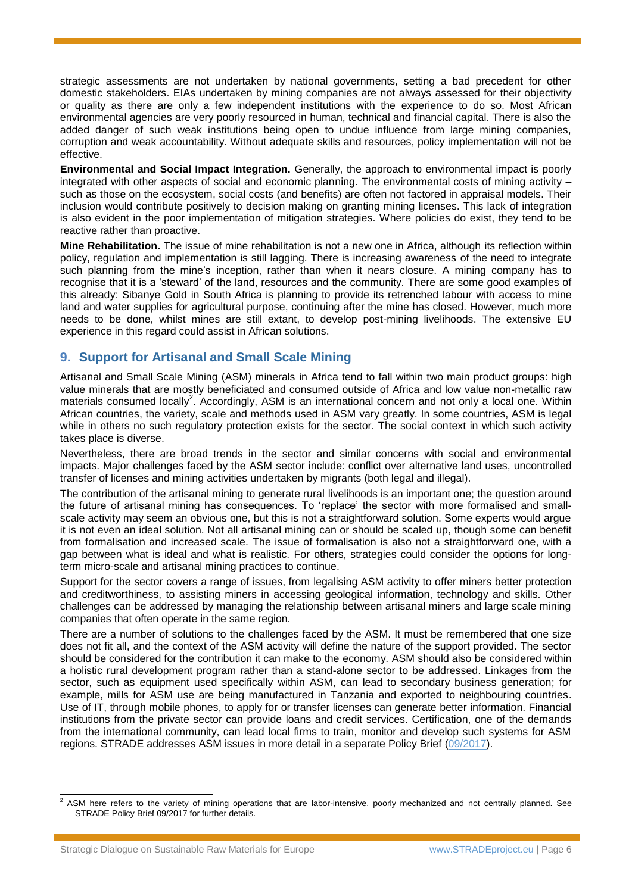strategic assessments are not undertaken by national governments, setting a bad precedent for other domestic stakeholders. EIAs undertaken by mining companies are not always assessed for their objectivity or quality as there are only a few independent institutions with the experience to do so. Most African environmental agencies are very poorly resourced in human, technical and financial capital. There is also the added danger of such weak institutions being open to undue influence from large mining companies, corruption and weak accountability. Without adequate skills and resources, policy implementation will not be effective.

**Environmental and Social Impact Integration.** Generally, the approach to environmental impact is poorly integrated with other aspects of social and economic planning. The environmental costs of mining activity – such as those on the ecosystem, social costs (and benefits) are often not factored in appraisal models. Their inclusion would contribute positively to decision making on granting mining licenses. This lack of integration is also evident in the poor implementation of mitigation strategies. Where policies do exist, they tend to be reactive rather than proactive.

**Mine Rehabilitation.** The issue of mine rehabilitation is not a new one in Africa, although its reflection within policy, regulation and implementation is still lagging. There is increasing awareness of the need to integrate such planning from the mine's inception, rather than when it nears closure. A mining company has to recognise that it is a 'steward' of the land, resources and the community. There are some good examples of this already: Sibanye Gold in South Africa is planning to provide its retrenched labour with access to mine land and water supplies for agricultural purpose, continuing after the mine has closed. However, much more needs to be done, whilst mines are still extant, to develop post-mining livelihoods. The extensive EU experience in this regard could assist in African solutions.

# **9. Support for Artisanal and Small Scale Mining**

Artisanal and Small Scale Mining (ASM) minerals in Africa tend to fall within two main product groups: high value minerals that are mostly beneficiated and consumed outside of Africa and low value non-metallic raw materials consumed locally<sup>2</sup>. Accordingly, ASM is an international concern and not only a local one. Within African countries, the variety, scale and methods used in ASM vary greatly. In some countries, ASM is legal while in others no such regulatory protection exists for the sector. The social context in which such activity takes place is diverse.

Nevertheless, there are broad trends in the sector and similar concerns with social and environmental impacts. Major challenges faced by the ASM sector include: conflict over alternative land uses, uncontrolled transfer of licenses and mining activities undertaken by migrants (both legal and illegal).

The contribution of the artisanal mining to generate rural livelihoods is an important one; the question around the future of artisanal mining has consequences. To 'replace' the sector with more formalised and smallscale activity may seem an obvious one, but this is not a straightforward solution. Some experts would argue it is not even an ideal solution. Not all artisanal mining can or should be scaled up, though some can benefit from formalisation and increased scale. The issue of formalisation is also not a straightforward one, with a gap between what is ideal and what is realistic. For others, strategies could consider the options for longterm micro-scale and artisanal mining practices to continue.

Support for the sector covers a range of issues, from legalising ASM activity to offer miners better protection and creditworthiness, to assisting miners in accessing geological information, technology and skills. Other challenges can be addressed by managing the relationship between artisanal miners and large scale mining companies that often operate in the same region.

There are a number of solutions to the challenges faced by the ASM. It must be remembered that one size does not fit all, and the context of the ASM activity will define the nature of the support provided. The sector should be considered for the contribution it can make to the economy. ASM should also be considered within a holistic rural development program rather than a stand-alone sector to be addressed. Linkages from the sector, such as equipment used specifically within ASM, can lead to secondary business generation; for example, mills for ASM use are being manufactured in Tanzania and exported to neighbouring countries. Use of IT, through mobile phones, to apply for or transfer licenses can generate better information. Financial institutions from the private sector can provide loans and credit services. Certification, one of the demands from the international community, can lead local firms to train, monitor and develop such systems for ASM regions. STRADE addresses ASM issues in more detail in a separate Policy Brief [\(09/2017\)](http://stradeproject.eu/fileadmin/user_upload/pdf/STRADE_PB09-2017_ASM_and_EU-cooperation.pdf).

<sup>-</sup> $2$  ASM here refers to the variety of mining operations that are labor-intensive, poorly mechanized and not centrally planned. See STRADE Policy Brief 09/2017 for further details.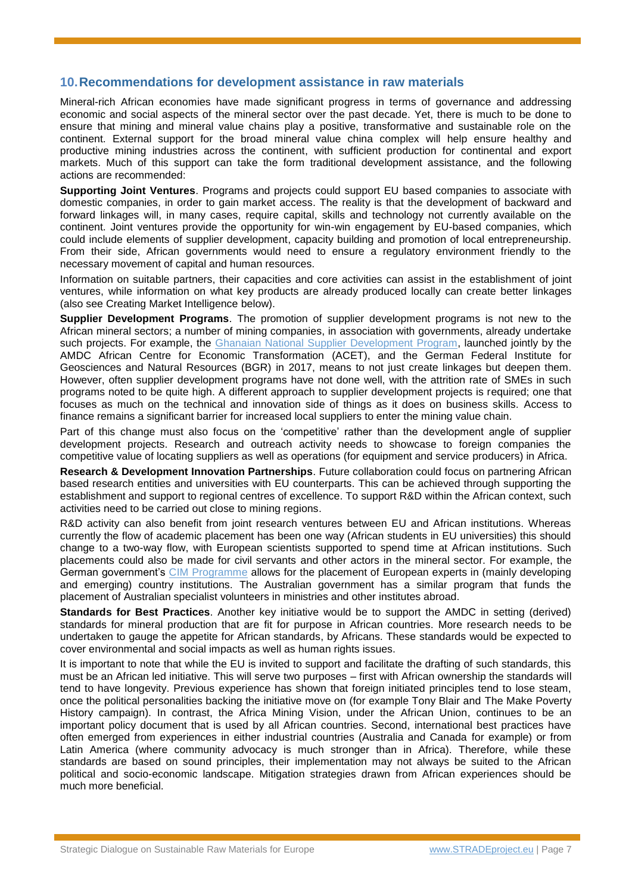#### **10.Recommendations for development assistance in raw materials**

Mineral-rich African economies have made significant progress in terms of governance and addressing economic and social aspects of the mineral sector over the past decade. Yet, there is much to be done to ensure that mining and mineral value chains play a positive, transformative and sustainable role on the continent. External support for the broad mineral value china complex will help ensure healthy and productive mining industries across the continent, with sufficient production for continental and export markets. Much of this support can take the form traditional development assistance, and the following actions are recommended:

**Supporting Joint Ventures**. Programs and projects could support EU based companies to associate with domestic companies, in order to gain market access. The reality is that the development of backward and forward linkages will, in many cases, require capital, skills and technology not currently available on the continent. Joint ventures provide the opportunity for win-win engagement by EU-based companies, which could include elements of supplier development, capacity building and promotion of local entrepreneurship. From their side, African governments would need to ensure a regulatory environment friendly to the necessary movement of capital and human resources.

Information on suitable partners, their capacities and core activities can assist in the establishment of joint ventures, while information on what key products are already produced locally can create better linkages (also see Creating Market Intelligence below).

**Supplier Development Programs**. The promotion of supplier development programs is not new to the African mineral sectors; a number of mining companies, in association with governments, already undertake such projects. For example, the [Ghanaian National Supplier Development Program,](http://acetforafrica.org/highlights/ghana-national-suppliers-development-programme-launched/) launched jointly by the AMDC African Centre for Economic Transformation (ACET), and the German Federal Institute for Geosciences and Natural Resources (BGR) in 2017, means to not just create linkages but deepen them. However, often supplier development programs have not done well, with the attrition rate of SMEs in such programs noted to be quite high. A different approach to supplier development projects is required; one that focuses as much on the technical and innovation side of things as it does on business skills. Access to finance remains a significant barrier for increased local suppliers to enter the mining value chain.

Part of this change must also focus on the 'competitive' rather than the development angle of supplier development projects. Research and outreach activity needs to showcase to foreign companies the competitive value of locating suppliers as well as operations (for equipment and service producers) in Africa.

**Research & Development Innovation Partnerships**. Future collaboration could focus on partnering African based research entities and universities with EU counterparts. This can be achieved through supporting the establishment and support to regional centres of excellence. To support R&D within the African context, such activities need to be carried out close to mining regions.

R&D activity can also benefit from joint research ventures between EU and African institutions. Whereas currently the flow of academic placement has been one way (African students in EU universities) this should change to a two-way flow, with European scientists supported to spend time at African institutions. Such placements could also be made for civil servants and other actors in the mineral sector. For example, the German government's [CIM Programme](https://www.cimonline.de/en/html/index.html) allows for the placement of European experts in (mainly developing and emerging) country institutions. The Australian government has a similar program that funds the placement of Australian specialist volunteers in ministries and other institutes abroad.

**Standards for Best Practices**. Another key initiative would be to support the AMDC in setting (derived) standards for mineral production that are fit for purpose in African countries. More research needs to be undertaken to gauge the appetite for African standards, by Africans. These standards would be expected to cover environmental and social impacts as well as human rights issues.

It is important to note that while the EU is invited to support and facilitate the drafting of such standards, this must be an African led initiative. This will serve two purposes – first with African ownership the standards will tend to have longevity. Previous experience has shown that foreign initiated principles tend to lose steam, once the political personalities backing the initiative move on (for example Tony Blair and The Make Poverty History campaign). In contrast, the Africa Mining Vision, under the African Union, continues to be an important policy document that is used by all African countries. Second, international best practices have often emerged from experiences in either industrial countries (Australia and Canada for example) or from Latin America (where community advocacy is much stronger than in Africa). Therefore, while these standards are based on sound principles, their implementation may not always be suited to the African political and socio-economic landscape. Mitigation strategies drawn from African experiences should be much more beneficial.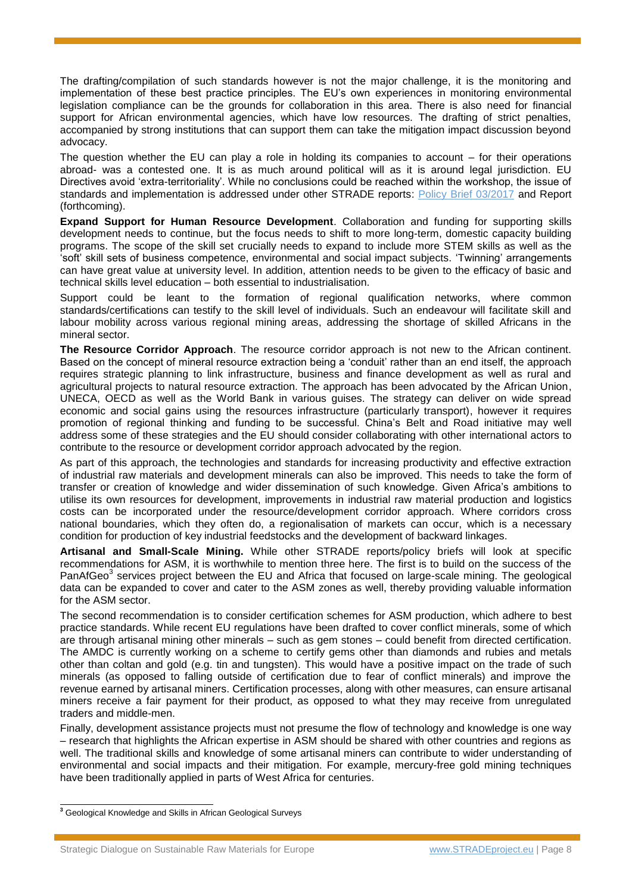The drafting/compilation of such standards however is not the major challenge, it is the monitoring and implementation of these best practice principles. The EU's own experiences in monitoring environmental legislation compliance can be the grounds for collaboration in this area. There is also need for financial support for African environmental agencies, which have low resources. The drafting of strict penalties, accompanied by strong institutions that can support them can take the mitigation impact discussion beyond advocacy.

The question whether the EU can play a role in holding its companies to account – for their operations abroad- was a contested one. It is as much around political will as it is around legal jurisdiction. EU Directives avoid 'extra-territoriality'. While no conclusions could be reached within the workshop, the issue of standards and implementation is addressed under other STRADE reports: [Policy Brief 03/2017](http://stradeproject.eu/fileadmin/user_upload/pdf/STRADEPolBrf_03-2017_OpDesignExp-DueDilgncCert_Apr2017_FINAL.pdf) and Report (forthcoming).

**Expand Support for Human Resource Development**. Collaboration and funding for supporting skills development needs to continue, but the focus needs to shift to more long-term, domestic capacity building programs. The scope of the skill set crucially needs to expand to include more STEM skills as well as the 'soft' skill sets of business competence, environmental and social impact subjects. 'Twinning' arrangements can have great value at university level. In addition, attention needs to be given to the efficacy of basic and technical skills level education – both essential to industrialisation.

Support could be leant to the formation of regional qualification networks, where common standards/certifications can testify to the skill level of individuals. Such an endeavour will facilitate skill and labour mobility across various regional mining areas, addressing the shortage of skilled Africans in the mineral sector.

**The Resource Corridor Approach**. The resource corridor approach is not new to the African continent. Based on the concept of mineral resource extraction being a 'conduit' rather than an end itself, the approach requires strategic planning to link infrastructure, business and finance development as well as rural and agricultural projects to natural resource extraction. The approach has been advocated by the African Union, UNECA, OECD as well as the World Bank in various guises. The strategy can deliver on wide spread economic and social gains using the resources infrastructure (particularly transport), however it requires promotion of regional thinking and funding to be successful. China's Belt and Road initiative may well address some of these strategies and the EU should consider collaborating with other international actors to contribute to the resource or development corridor approach advocated by the region.

As part of this approach, the technologies and standards for increasing productivity and effective extraction of industrial raw materials and development minerals can also be improved. This needs to take the form of transfer or creation of knowledge and wider dissemination of such knowledge. Given Africa's ambitions to utilise its own resources for development, improvements in industrial raw material production and logistics costs can be incorporated under the resource/development corridor approach. Where corridors cross national boundaries, which they often do, a regionalisation of markets can occur, which is a necessary condition for production of key industrial feedstocks and the development of backward linkages.

**Artisanal and Small-Scale Mining.** While other STRADE reports/policy briefs will look at specific recommendations for ASM, it is worthwhile to mention three here. The first is to build on the success of the PanAfGeo<sup>3</sup> services project between the EU and Africa that focused on large-scale mining. The geological data can be expanded to cover and cater to the ASM zones as well, thereby providing valuable information for the ASM sector.

The second recommendation is to consider certification schemes for ASM production, which adhere to best practice standards. While recent EU regulations have been drafted to cover conflict minerals, some of which are through artisanal mining other minerals – such as gem stones – could benefit from directed certification. The AMDC is currently working on a scheme to certify gems other than diamonds and rubies and metals other than coltan and gold (e.g. tin and tungsten). This would have a positive impact on the trade of such minerals (as opposed to falling outside of certification due to fear of conflict minerals) and improve the revenue earned by artisanal miners. Certification processes, along with other measures, can ensure artisanal miners receive a fair payment for their product, as opposed to what they may receive from unregulated traders and middle-men.

Finally, development assistance projects must not presume the flow of technology and knowledge is one way – research that highlights the African expertise in ASM should be shared with other countries and regions as well. The traditional skills and knowledge of some artisanal miners can contribute to wider understanding of environmental and social impacts and their mitigation. For example, mercury-free gold mining techniques have been traditionally applied in parts of West Africa for centuries.

 $\overline{a}$ 

**<sup>3</sup>** Geological Knowledge and Skills in African Geological Surveys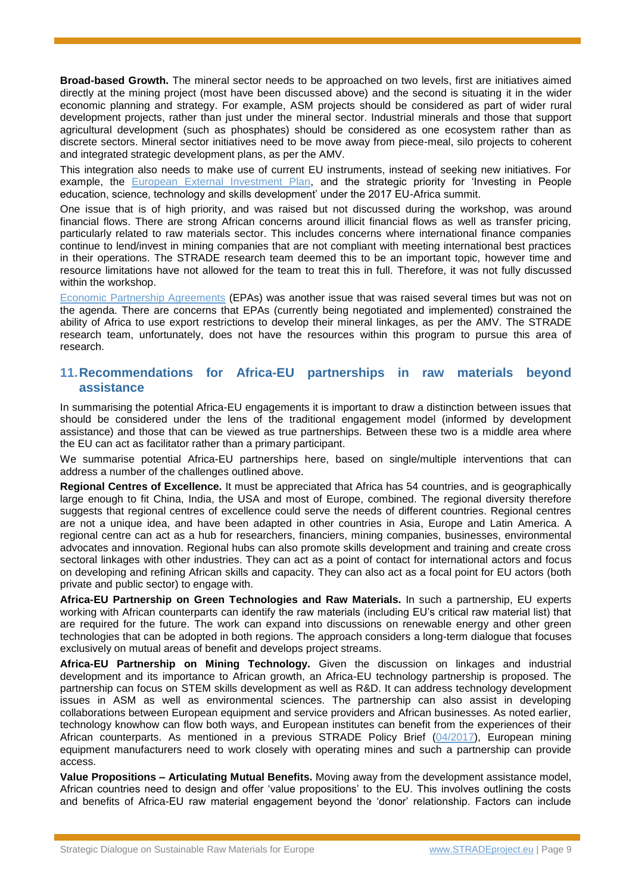**Broad-based Growth.** The mineral sector needs to be approached on two levels, first are initiatives aimed directly at the mining project (most have been discussed above) and the second is situating it in the wider economic planning and strategy. For example, ASM projects should be considered as part of wider rural development projects, rather than just under the mineral sector. Industrial minerals and those that support agricultural development (such as phosphates) should be considered as one ecosystem rather than as discrete sectors. Mineral sector initiatives need to be move away from piece-meal, silo projects to coherent and integrated strategic development plans, as per the AMV.

This integration also needs to make use of current EU instruments, instead of seeking new initiatives. For example, the [European External Investment Plan,](https://ec.europa.eu/europeaid/eu-external-investment-plan-factsheet_en) and the strategic priority for 'Investing in People education, science, technology and skills development' under the 2017 EU-Africa summit.

One issue that is of high priority, and was raised but not discussed during the workshop, was around financial flows. There are strong African concerns around illicit financial flows as well as transfer pricing, particularly related to raw materials sector. This includes concerns where international finance companies continue to lend/invest in mining companies that are not compliant with meeting international best practices in their operations. The STRADE research team deemed this to be an important topic, however time and resource limitations have not allowed for the team to treat this in full. Therefore, it was not fully discussed within the workshop.

[Economic Partnership Agreements](http://ec.europa.eu/trade/policy/countries-and-regions/development/economic-partnerships/index_en.htm) (EPAs) was another issue that was raised several times but was not on the agenda. There are concerns that EPAs (currently being negotiated and implemented) constrained the ability of Africa to use export restrictions to develop their mineral linkages, as per the AMV. The STRADE research team, unfortunately, does not have the resources within this program to pursue this area of research.

#### **11.Recommendations for Africa-EU partnerships in raw materials beyond assistance**

In summarising the potential Africa-EU engagements it is important to draw a distinction between issues that should be considered under the lens of the traditional engagement model (informed by development assistance) and those that can be viewed as true partnerships. Between these two is a middle area where the EU can act as facilitator rather than a primary participant.

We summarise potential Africa-EU partnerships here, based on single/multiple interventions that can address a number of the challenges outlined above.

**Regional Centres of Excellence.** It must be appreciated that Africa has 54 countries, and is geographically large enough to fit China, India, the USA and most of Europe, combined. The regional diversity therefore suggests that regional centres of excellence could serve the needs of different countries. Regional centres are not a unique idea, and have been adapted in other countries in Asia, Europe and Latin America. A regional centre can act as a hub for researchers, financiers, mining companies, businesses, environmental advocates and innovation. Regional hubs can also promote skills development and training and create cross sectoral linkages with other industries. They can act as a point of contact for international actors and focus on developing and refining African skills and capacity. They can also act as a focal point for EU actors (both private and public sector) to engage with.

**Africa-EU Partnership on Green Technologies and Raw Materials.** In such a partnership, EU experts working with African counterparts can identify the raw materials (including EU's critical raw material list) that are required for the future. The work can expand into discussions on renewable energy and other green technologies that can be adopted in both regions. The approach considers a long-term dialogue that focuses exclusively on mutual areas of benefit and develops project streams.

**Africa-EU Partnership on Mining Technology.** Given the discussion on linkages and industrial development and its importance to African growth, an Africa-EU technology partnership is proposed. The partnership can focus on STEM skills development as well as R&D. It can address technology development issues in ASM as well as environmental sciences. The partnership can also assist in developing collaborations between European equipment and service providers and African businesses. As noted earlier, technology knowhow can flow both ways, and European institutes can benefit from the experiences of their African counterparts. As mentioned in a previous STRADE Policy Brief [\(04/2017\)](http://stradeproject.eu/fileadmin/user_upload/pdf/STRADE_PB04-2017_D2-8_MiningTechSectorEU-CollaborativeCompetitiveness_May2017_FINAL.pdf), European mining equipment manufacturers need to work closely with operating mines and such a partnership can provide access.

**Value Propositions – Articulating Mutual Benefits.** Moving away from the development assistance model, African countries need to design and offer 'value propositions' to the EU. This involves outlining the costs and benefits of Africa-EU raw material engagement beyond the 'donor' relationship. Factors can include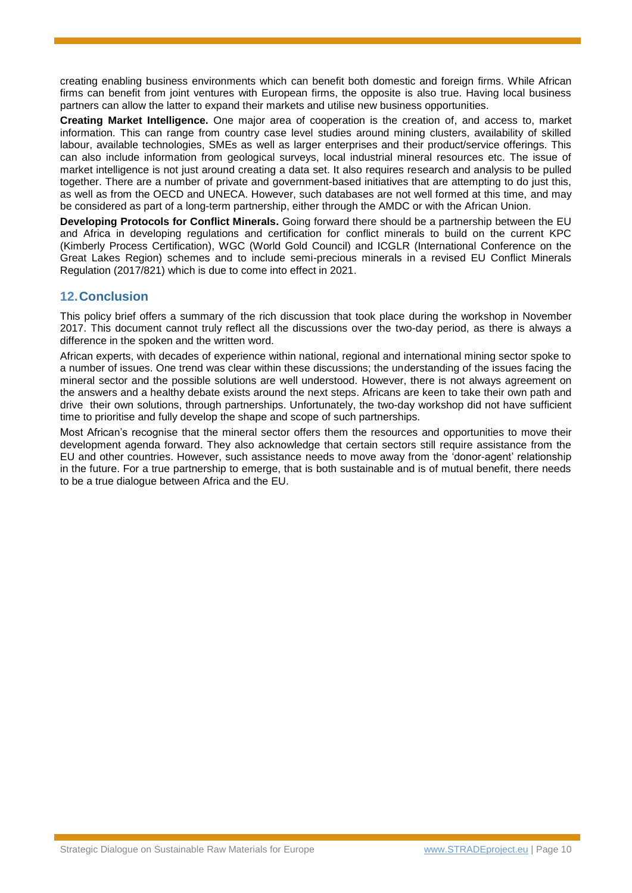creating enabling business environments which can benefit both domestic and foreign firms. While African firms can benefit from joint ventures with European firms, the opposite is also true. Having local business partners can allow the latter to expand their markets and utilise new business opportunities.

**Creating Market Intelligence.** One major area of cooperation is the creation of, and access to, market information. This can range from country case level studies around mining clusters, availability of skilled labour, available technologies, SMEs as well as larger enterprises and their product/service offerings. This can also include information from geological surveys, local industrial mineral resources etc. The issue of market intelligence is not just around creating a data set. It also requires research and analysis to be pulled together. There are a number of private and government-based initiatives that are attempting to do just this, as well as from the OECD and UNECA. However, such databases are not well formed at this time, and may be considered as part of a long-term partnership, either through the AMDC or with the African Union.

**Developing Protocols for Conflict Minerals.** Going forward there should be a partnership between the EU and Africa in developing regulations and certification for conflict minerals to build on the current KPC (Kimberly Process Certification), WGC (World Gold Council) and ICGLR (International Conference on the Great Lakes Region) schemes and to include semi-precious minerals in a revised EU Conflict Minerals Regulation (2017/821) which is due to come into effect in 2021.

#### **12.Conclusion**

This policy brief offers a summary of the rich discussion that took place during the workshop in November 2017. This document cannot truly reflect all the discussions over the two-day period, as there is always a difference in the spoken and the written word.

African experts, with decades of experience within national, regional and international mining sector spoke to a number of issues. One trend was clear within these discussions; the understanding of the issues facing the mineral sector and the possible solutions are well understood. However, there is not always agreement on the answers and a healthy debate exists around the next steps. Africans are keen to take their own path and drive their own solutions, through partnerships. Unfortunately, the two-day workshop did not have sufficient time to prioritise and fully develop the shape and scope of such partnerships.

Most African's recognise that the mineral sector offers them the resources and opportunities to move their development agenda forward. They also acknowledge that certain sectors still require assistance from the EU and other countries. However, such assistance needs to move away from the 'donor-agent' relationship in the future. For a true partnership to emerge, that is both sustainable and is of mutual benefit, there needs to be a true dialogue between Africa and the EU.